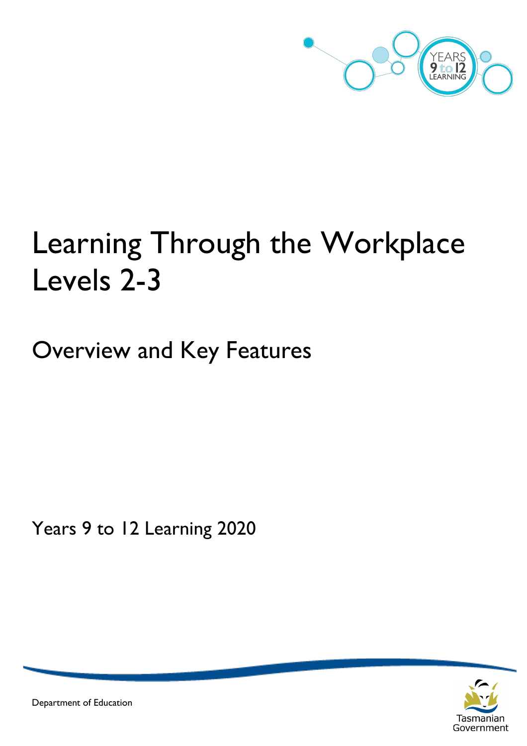

# Learning Through the Workplace Levels 2-3

Overview and Key Features

Years 9 to 12 Learning 2020



Department of Education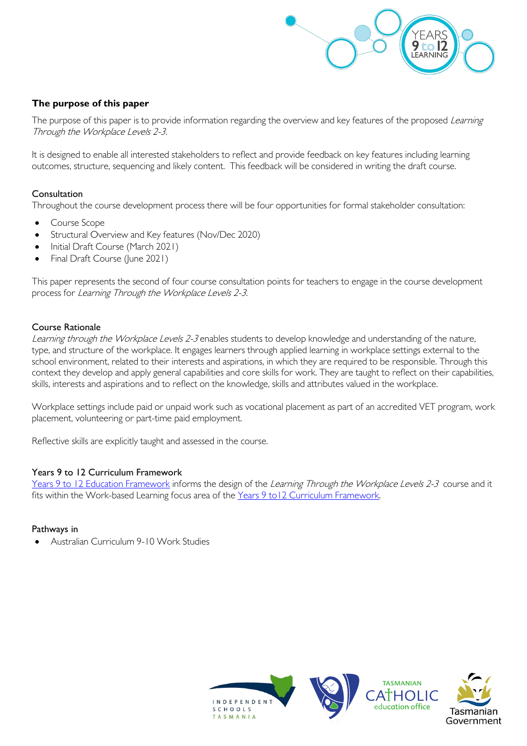

#### **The purpose of this paper**

The purpose of this paper is to provide information regarding the overview and key features of the proposed Learning Through the Workplace Levels 2-3.

It is designed to enable all interested stakeholders to reflect and provide feedback on key features including learning outcomes, structure, sequencing and likely content. This feedback will be considered in writing the draft course.

#### Consultation

Throughout the course development process there will be four opportunities for formal stakeholder consultation:

- Course Scope
- Structural Overview and Key features (Nov/Dec 2020)
- Initial Draft Course (March 2021)
- Final Draft Course (June 2021)

This paper represents the second of four course consultation points for teachers to engage in the course development process for Learning Through the Workplace Levels 2-3.

#### Course Rationale

Learning through the Workplace Levels 2-3 enables students to develop knowledge and understanding of the nature, type, and structure of the workplace. It engages learners through applied learning in workplace settings external to the school environment, related to their interests and aspirations, in which they are required to be responsible. Through this context they develop and apply general capabilities and core skills for work. They are taught to reflect on their capabilities, skills, interests and aspirations and to reflect on the knowledge, skills and attributes valued in the workplace.

Workplace settings include paid or unpaid work such as vocational placement as part of an accredited VET program, work placement, volunteering or part-time paid employment.

Reflective skills are explicitly taught and assessed in the course.

#### Years 9 to 12 Curriculum Framework

[Years 9 to 12 Education Framework](https://publicdocumentcentre.education.tas.gov.au/library/Shared%20Documents/Years-9-to-12-Education-Framework.pdf) informs the design of the Learning Through the Workplace Levels 2-3 course and it fits within the Work-based Learning focus area of the [Years 9 to12 Curriculum Framework.](https://publicdocumentcentre.education.tas.gov.au/library/Shared%20Documents/Education%209-12%20Frameworks%20A3%20WEB%20POSTER.pdf)

#### Pathways in

• Australian Curriculum 9-10 Work Studies

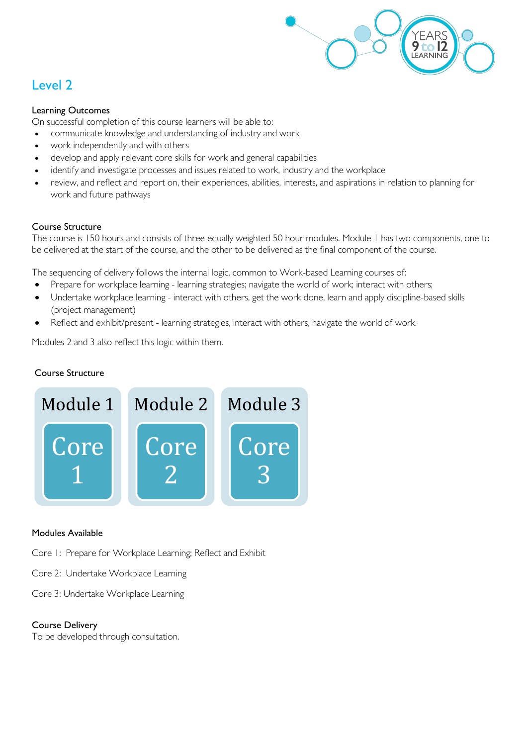

## Level 2

#### Learning Outcomes

On successful completion of this course learners will be able to:

- communicate knowledge and understanding of industry and work
- work independently and with others
- develop and apply relevant core skills for work and general capabilities
- identify and investigate processes and issues related to work, industry and the workplace
- review, and reflect and report on, their experiences, abilities, interests, and aspirations in relation to planning for work and future pathways

#### Course Structure

The course is 150 hours and consists of three equally weighted 50 hour modules. Module 1 has two components, one to be delivered at the start of the course, and the other to be delivered as the final component of the course.

The sequencing of delivery follows the internal logic, common to Work-based Learning courses of:

- Prepare for workplace learning learning strategies; navigate the world of work; interact with others;
- Undertake workplace learning interact with others, get the work done, learn and apply discipline-based skills (project management)
- Reflect and exhibit/present learning strategies, interact with others, navigate the world of work.

Modules 2 and 3 also reflect this logic within them.

#### Course Structure



#### Modules Available

Core 1: Prepare for Workplace Learning; Reflect and Exhibit

Core 2: Undertake Workplace Learning

Core 3: Undertake Workplace Learning

#### Course Delivery

To be developed through consultation.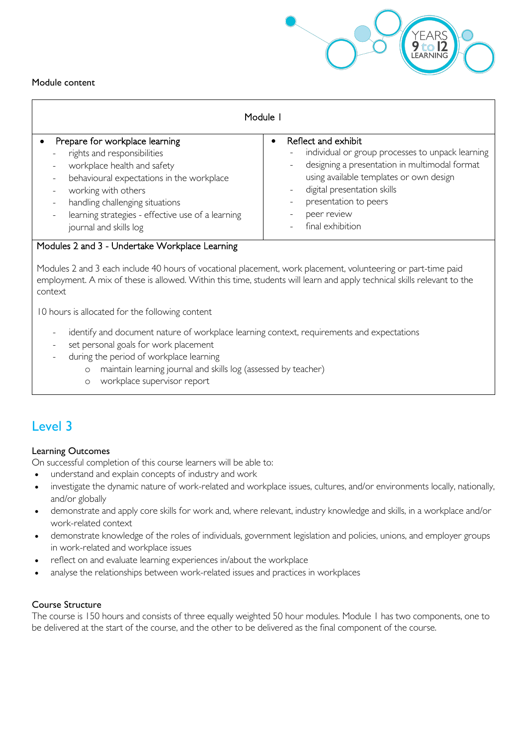

#### Module content

| Module I                                                                                                                                                                                                                                                                                                                                   |                                                                                                                                                                                                                                                                |  |  |  |  |  |
|--------------------------------------------------------------------------------------------------------------------------------------------------------------------------------------------------------------------------------------------------------------------------------------------------------------------------------------------|----------------------------------------------------------------------------------------------------------------------------------------------------------------------------------------------------------------------------------------------------------------|--|--|--|--|--|
| Prepare for workplace learning<br>rights and responsibilities<br>$\overline{\phantom{a}}$<br>workplace health and safety<br>behavioural expectations in the workplace<br>working with others<br>handling challenging situations<br>$\overline{\phantom{a}}$<br>learning strategies - effective use of a learning<br>journal and skills log | Reflect and exhibit<br>individual or group processes to unpack learning<br>designing a presentation in multimodal format<br>using available templates or own design<br>digital presentation skills<br>presentation to peers<br>peer review<br>final exhibition |  |  |  |  |  |

#### Modules 2 and 3 - Undertake Workplace Learning

Modules 2 and 3 each include 40 hours of vocational placement, work placement, volunteering or part-time paid employment. A mix of these is allowed. Within this time, students will learn and apply technical skills relevant to the context

10 hours is allocated for the following content

- identify and document nature of workplace learning context, requirements and expectations
- set personal goals for work placement
- during the period of workplace learning
	- o maintain learning journal and skills log (assessed by teacher)
		- o workplace supervisor report

### Level 3

#### Learning Outcomes

On successful completion of this course learners will be able to:

- understand and explain concepts of industry and work
- investigate the dynamic nature of work-related and workplace issues, cultures, and/or environments locally, nationally, and/or globally
- demonstrate and apply core skills for work and, where relevant, industry knowledge and skills, in a workplace and/or work-related context
- demonstrate knowledge of the roles of individuals, government legislation and policies, unions, and employer groups in work-related and workplace issues
- reflect on and evaluate learning experiences in/about the workplace
- analyse the relationships between work-related issues and practices in workplaces

#### Course Structure

The course is 150 hours and consists of three equally weighted 50 hour modules. Module 1 has two components, one to be delivered at the start of the course, and the other to be delivered as the final component of the course.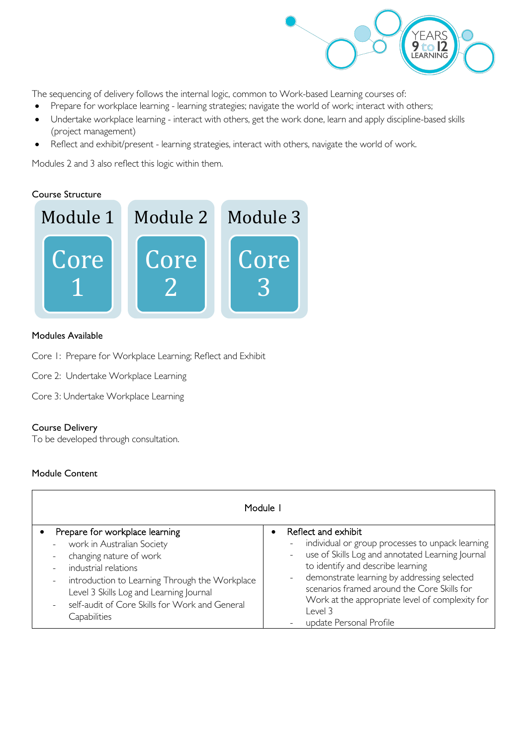

The sequencing of delivery follows the internal logic, common to Work-based Learning courses of:

- Prepare for workplace learning learning strategies; navigate the world of work; interact with others;
- Undertake workplace learning interact with others, get the work done, learn and apply discipline-based skills (project management)
- Reflect and exhibit/present learning strategies, interact with others, navigate the world of work.

Modules 2 and 3 also reflect this logic within them.

#### Course Structure



#### Modules Available

- Core 1: Prepare for Workplace Learning; Reflect and Exhibit
- Core 2: Undertake Workplace Learning
- Core 3: Undertake Workplace Learning

#### Course Delivery

To be developed through consultation.

#### Module Content

| Module I                                                                                                                                                                                                                                                                                                                                                    |                                                                                                                                                                                                                                                                                                                                                         |  |  |  |  |  |  |
|-------------------------------------------------------------------------------------------------------------------------------------------------------------------------------------------------------------------------------------------------------------------------------------------------------------------------------------------------------------|---------------------------------------------------------------------------------------------------------------------------------------------------------------------------------------------------------------------------------------------------------------------------------------------------------------------------------------------------------|--|--|--|--|--|--|
| Prepare for workplace learning<br>work in Australian Society<br>$\overline{\phantom{a}}$<br>changing nature of work<br>industrial relations<br>$\overline{\phantom{a}}$<br>introduction to Learning Through the Workplace<br>$\qquad \qquad -$<br>Level 3 Skills Log and Learning Journal<br>self-audit of Core Skills for Work and General<br>Capabilities | Reflect and exhibit<br>individual or group processes to unpack learning<br>use of Skills Log and annotated Learning Journal<br>to identify and describe learning<br>demonstrate learning by addressing selected<br>scenarios framed around the Core Skills for<br>Work at the appropriate level of complexity for<br>Level 3<br>update Personal Profile |  |  |  |  |  |  |